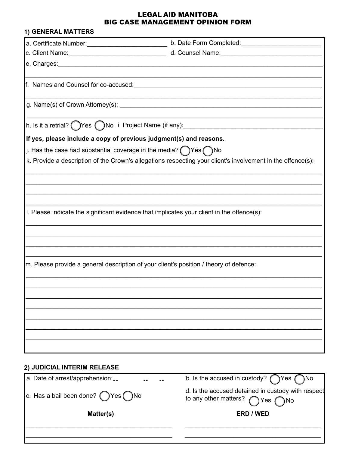## **LEGAL AID MANITOBA BIG CASE MANAGEMENT OPINION FORM**

| 1) GENERAL MATTERS                                                                |                                                                                                                       |
|-----------------------------------------------------------------------------------|-----------------------------------------------------------------------------------------------------------------------|
|                                                                                   | b. Date Form Completed:                                                                                               |
|                                                                                   |                                                                                                                       |
|                                                                                   |                                                                                                                       |
| f. Names and Counsel for co-accused:                                              | <u> 1989 - Johann Stein, marwolaethau a bhann an t-Amhain Aonaichte ann an t-Amhain Aonaichte ann an t-Amhain Aon</u> |
|                                                                                   |                                                                                                                       |
|                                                                                   |                                                                                                                       |
| If yes, please include a copy of previous judgment(s) and reasons.                |                                                                                                                       |
| j. Has the case had substantial coverage in the media? $\bigcap$ Yes $\bigcap$ No |                                                                                                                       |
|                                                                                   | k. Provide a description of the Crown's allegations respecting your client's involvement in the offence(s):           |
|                                                                                   |                                                                                                                       |
|                                                                                   |                                                                                                                       |
|                                                                                   | I. Please indicate the significant evidence that implicates your client in the offence(s):                            |
|                                                                                   |                                                                                                                       |
|                                                                                   |                                                                                                                       |
|                                                                                   | m. Please provide a general description of your client's position / theory of defence:                                |
|                                                                                   |                                                                                                                       |
|                                                                                   |                                                                                                                       |
|                                                                                   |                                                                                                                       |
|                                                                                   |                                                                                                                       |
|                                                                                   |                                                                                                                       |
| 2) JUDICIAL INTERIM RELEASE                                                       |                                                                                                                       |
| La Date of arrest/annrehension:                                                   | b Is the accused in custody? $\bigcap$ Yes $\bigcap$ No.                                                              |

| a. Date of arrest/apprehension __                      | b. Is the accused in custody? $\bigcap$ Yes $\bigcap$ No                                               |
|--------------------------------------------------------|--------------------------------------------------------------------------------------------------------|
| $ c.$ Has a bail been done? $\bigcap$ Yes $\bigcap$ No | d. Is the accused detained in custody with respect<br>to any other matters? $\bigcap$ Yes $\bigcap$ No |
| Matter(s)                                              | ERD / WED                                                                                              |
|                                                        |                                                                                                        |
|                                                        |                                                                                                        |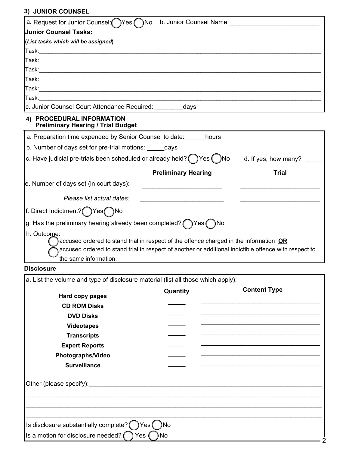## **3) JUNIOR COUNSEL**

| JUNIUR UUUNJEL                                                                                                                                                                                                                          |                      |
|-----------------------------------------------------------------------------------------------------------------------------------------------------------------------------------------------------------------------------------------|----------------------|
| a. Request for Junior Counsel: Yes<br>`)No<br>b. Junior Counsel Name:                                                                                                                                                                   |                      |
| <b>Junior Counsel Tasks:</b>                                                                                                                                                                                                            |                      |
| (List tasks which will be assigned)                                                                                                                                                                                                     |                      |
|                                                                                                                                                                                                                                         |                      |
|                                                                                                                                                                                                                                         |                      |
|                                                                                                                                                                                                                                         |                      |
|                                                                                                                                                                                                                                         |                      |
|                                                                                                                                                                                                                                         |                      |
| Task: with the contract of the contract of the contract of the contract of the contract of the contract of the                                                                                                                          |                      |
| c. Junior Counsel Court Attendance Required: _______<br>days                                                                                                                                                                            |                      |
| 4) PROCEDURAL INFORMATION<br><b>Preliminary Hearing / Trial Budget</b>                                                                                                                                                                  |                      |
| a. Preparation time expended by Senior Counsel to date: hours                                                                                                                                                                           |                      |
| b. Number of days set for pre-trial motions: days                                                                                                                                                                                       |                      |
| c. Have judicial pre-trials been scheduled or already held? $($ $)$ Yes $($ $)$ No                                                                                                                                                      | d. If yes, how many? |
| <b>Preliminary Hearing</b>                                                                                                                                                                                                              | <b>Trial</b>         |
| e. Number of days set (in court days):                                                                                                                                                                                                  |                      |
| Please list actual dates:                                                                                                                                                                                                               |                      |
| f. Direct Indictment? ( )Yes ( )No                                                                                                                                                                                                      |                      |
| g. Has the preliminary hearing already been completed? $\bigcap$ Yes $\bigcap$ No                                                                                                                                                       |                      |
| h. Outcome:<br>accused ordered to stand trial in respect of the offence charged in the information OR<br>accused ordered to stand trial in respect of another or additional indictible offence with respect to<br>the same information. |                      |
| <b>Disclosure</b>                                                                                                                                                                                                                       |                      |

| a. List the volume and type of disclosure material (list all those which apply): |                 |                     |
|----------------------------------------------------------------------------------|-----------------|---------------------|
| Hard copy pages                                                                  | Quantity        | <b>Content Type</b> |
| <b>CD ROM Disks</b>                                                              |                 |                     |
| <b>DVD Disks</b>                                                                 |                 |                     |
| <b>Videotapes</b>                                                                |                 |                     |
| <b>Transcripts</b>                                                               |                 |                     |
| <b>Expert Reports</b>                                                            |                 |                     |
| Photographs/Video                                                                |                 |                     |
| <b>Surveillance</b>                                                              |                 |                     |
|                                                                                  |                 |                     |
|                                                                                  |                 |                     |
|                                                                                  |                 |                     |
| Is disclosure substantially complete?                                            | )Yes (<br>- )No |                     |
| Is a motion for disclosure needed?                                               | ) No<br>Yes (   |                     |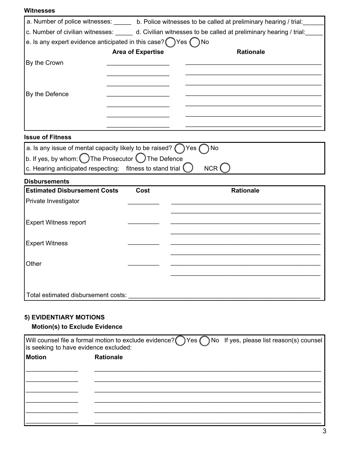| Witnesses |  |
|-----------|--|
|-----------|--|

|                                                                                |                          | a. Number of police witnesses: ______ b. Police witnesses to be called at preliminary hearing / trial:                    |
|--------------------------------------------------------------------------------|--------------------------|---------------------------------------------------------------------------------------------------------------------------|
|                                                                                |                          | c. Number of civilian witnesses: ______ d. Civilian witnesses to be called at preliminary hearing / trial:                |
| e. Is any expert evidence anticipated in this case? $\bigcap$ Yes $\bigcap$ No |                          |                                                                                                                           |
|                                                                                | <b>Area of Expertise</b> | <b>Rationale</b>                                                                                                          |
| By the Crown                                                                   |                          |                                                                                                                           |
|                                                                                |                          |                                                                                                                           |
|                                                                                |                          |                                                                                                                           |
| By the Defence                                                                 |                          |                                                                                                                           |
|                                                                                |                          |                                                                                                                           |
|                                                                                |                          |                                                                                                                           |
|                                                                                |                          |                                                                                                                           |
| <b>Issue of Fitness</b>                                                        |                          |                                                                                                                           |
| a. Is any issue of mental capacity likely to be raised? $\bigcap$ Yes (        |                          | ) No                                                                                                                      |
| b. If yes, by whom: $\bigcap$ The Prosecutor $\bigcirc$ The Defence            |                          |                                                                                                                           |
| c. Hearing anticipated respecting: fitness to stand trial (                    |                          | NCR (                                                                                                                     |
| <b>Disbursements</b>                                                           |                          |                                                                                                                           |
| <b>Estimated Disbursement Costs</b>                                            | Cost                     | <b>Rationale</b>                                                                                                          |
| Private Investigator                                                           |                          |                                                                                                                           |
|                                                                                |                          |                                                                                                                           |
| <b>Expert Witness report</b>                                                   |                          |                                                                                                                           |
|                                                                                |                          |                                                                                                                           |
| <b>Expert Witness</b>                                                          |                          |                                                                                                                           |
|                                                                                |                          |                                                                                                                           |
| Other                                                                          |                          |                                                                                                                           |
|                                                                                |                          |                                                                                                                           |
|                                                                                |                          |                                                                                                                           |
| Total estimated disbursement costs:                                            |                          |                                                                                                                           |
|                                                                                |                          |                                                                                                                           |
|                                                                                |                          |                                                                                                                           |
| <b>5) EVIDENTIARY MOTIONS</b><br><b>Motion(s) to Exclude Evidence</b>          |                          |                                                                                                                           |
|                                                                                |                          |                                                                                                                           |
| is seeking to have evidence excluded:                                          |                          | Will counsel file a formal motion to exclude evidence? $\bigcirc$ Yes $\bigcirc$ No If yes, please list reason(s) counsel |
| Motion                                                                         | <b>Rationale</b>         |                                                                                                                           |
|                                                                                |                          |                                                                                                                           |
|                                                                                |                          |                                                                                                                           |
|                                                                                |                          |                                                                                                                           |
|                                                                                |                          |                                                                                                                           |
|                                                                                |                          |                                                                                                                           |
|                                                                                |                          |                                                                                                                           |
|                                                                                |                          |                                                                                                                           |